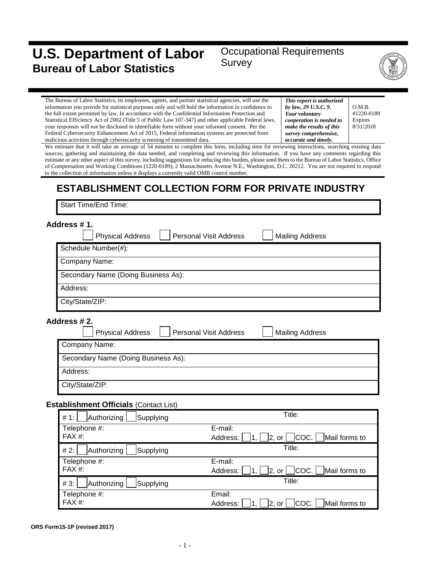# **U.S. Department of Labor Bureau of Labor Statistics**

## Occupational Requirements Survey



The Bureau of Labor Statistics, its employees, agents, and partner statistical agencies, will use the information you provide for statistical purposes only and will hold the information in confidence to the full extent permitted by law. In accordance with the Confidential Information Protection and Statistical Efficiency Act of 2002 (Title 5 of Public Law 107-347) and other applicable Federal laws, your responses will not be disclosed in identifiable form without your informed consent. Per the Federal Cybersecurity Enhancement Act of 2015, Federal information systems are protected from malicious activities through cybersecurity screening of transmitted data.

*This report is authorized by law, 29 U.S.C. 9. Your voluntary cooperation is needed to make the results of this survey comprehensive, accurate and timely.*

O.M.B. #1220-0189 Expires 8/31/2018

We estimate that it will take an average of 54 minutes to complete this form, including time for reviewing instructions, searching existing data sources, gathering and maintaining the data needed, and completing and reviewing this information. If you have any comments regarding this estimate or any other aspect of this survey, including suggestions for reducing this burden, please send them to the Bureau of Labor Statistics, Office of Compensation and Working Conditions (1220-0189), 2 Massachusetts Avenue N.E., Washington, D.C. 20212. You are not required to respond to the collection of information unless it displays a currently valid OMB control number.

# **ESTABLISHMENT COLLECTION FORM FOR PRIVATE INDUSTRY**

Start Time/End Time:

| Address #1.                                   |                                                                                |
|-----------------------------------------------|--------------------------------------------------------------------------------|
| <b>Physical Address</b>                       | <b>Mailing Address</b><br><b>Personal Visit Address</b>                        |
| Schedule Number(#):                           |                                                                                |
| Company Name:                                 |                                                                                |
| Secondary Name (Doing Business As):           |                                                                                |
| Address:                                      |                                                                                |
| City/State/ZIP:                               |                                                                                |
| Address #2.<br><b>Physical Address</b>        | <b>Personal Visit Address</b><br><b>Mailing Address</b>                        |
| Company Name:                                 |                                                                                |
| Secondary Name (Doing Business As):           |                                                                                |
| Address:                                      |                                                                                |
| City/State/ZIP:                               |                                                                                |
| <b>Establishment Officials (Contact List)</b> |                                                                                |
| Authorizing<br># 1:<br>Supplying              | Title:                                                                         |
| Telephone #:<br>$FAX#$ :                      | E-mail:<br>COC.<br> 2, or <br>Mail forms to<br>Address:<br>1.                  |
| Authorizing<br># 2:<br>Supplying              | Title:                                                                         |
| Telephone #:<br>$FAX#$ :                      | E-mail:<br>  <sub>COC</sub>  <br> 2, or <br>Mail forms to<br>Address:<br>1.    |
| Supplying<br>#3:<br>Authorizing               | Title:                                                                         |
| Telephone #:<br>FAX #:                        | Email:<br> COC.  <br> 2, or  <br>Mail forms to<br>Address:<br>$\vert 1, \vert$ |

**ORS Form15-1P (revised 2017)**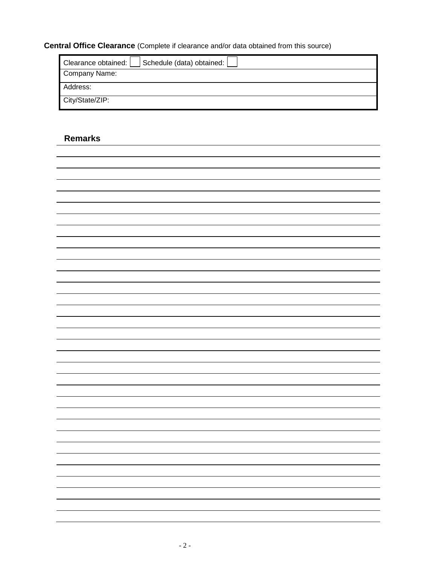## **Central Office Clearance** (Complete if clearance and/or data obtained from this source)

| Schedule (data) obtained:<br>Clearance obtained: |
|--------------------------------------------------|
| Company Name:                                    |
| Address:                                         |
| City/State/ZIP:                                  |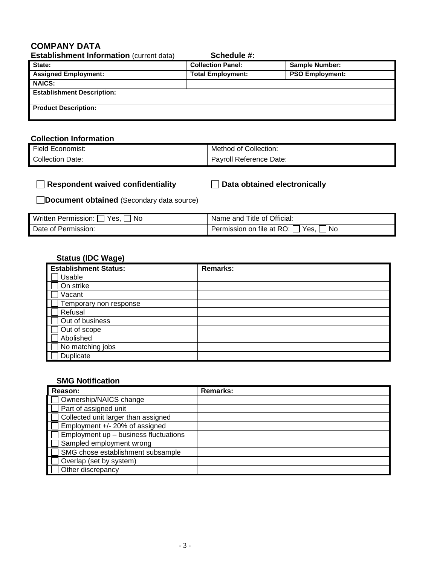### **COMPANY DATA**

| <b>Establishment Information (current data)</b> | Schedule #:              |                        |
|-------------------------------------------------|--------------------------|------------------------|
| State:                                          | <b>Collection Panel:</b> | <b>Sample Number:</b>  |
| <b>Assigned Employment:</b>                     | <b>Total Employment:</b> | <b>PSO Employment:</b> |
| <b>NAICS:</b>                                   |                          |                        |
| <b>Establishment Description:</b>               |                          |                        |
| <b>Product Description:</b>                     |                          |                        |

### **Collection Information**

| Field E<br>Economist: | Collection:<br>Method<br>⊿ of ′ |
|-----------------------|---------------------------------|
| Collection<br>Date:   | Pavroll Reference Date:         |

| $\Box$ Respondent waived confidentiality | $\Box$ Data obtained electronically |
|------------------------------------------|-------------------------------------|
|                                          |                                     |

**Document obtained** (Secondary data source)

| Written Permission: [<br>Yes.<br>No | Name and Title of Official:                |
|-------------------------------------|--------------------------------------------|
| Date of Permission:                 | Permission on file at RO: [<br>No.<br>Yes. |

## **Status (IDC Wage)**

| <b>Establishment Status:</b> | <b>Remarks:</b> |
|------------------------------|-----------------|
| Usable                       |                 |
| On strike                    |                 |
| Vacant                       |                 |
| Temporary non response       |                 |
| Refusal                      |                 |
| Out of business              |                 |
| Out of scope                 |                 |
| Abolished                    |                 |
| No matching jobs             |                 |
| Duplicate                    |                 |

#### **SMG Notification**

| Reason:                               | <b>Remarks:</b> |
|---------------------------------------|-----------------|
| Ownership/NAICS change                |                 |
| Part of assigned unit                 |                 |
| Collected unit larger than assigned   |                 |
| Employment +/- 20% of assigned        |                 |
| Employment up - business fluctuations |                 |
| Sampled employment wrong              |                 |
| SMG chose establishment subsample     |                 |
| Overlap (set by system)               |                 |
| Other discrepancy                     |                 |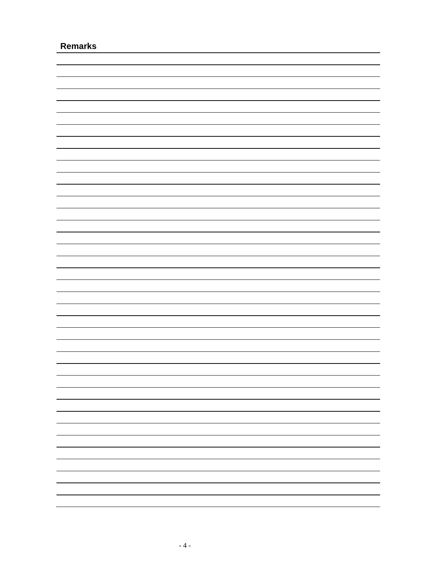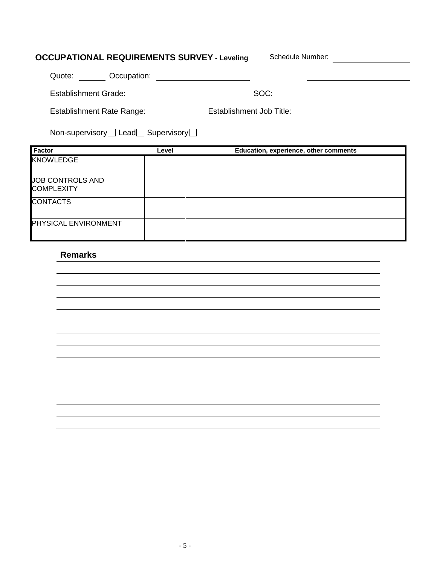# **OCCUPATIONAL REQUIREMENTS SURVEY - Leveling Schedule Number:**

| Occupation:<br>Quote:     |                          |
|---------------------------|--------------------------|
| Establishment Grade:      | SOC:                     |
| Establishment Rate Range: | Establishment Job Title: |

| Non-supervisory□ Lead□ Supervisory□ |  |  |
|-------------------------------------|--|--|
|-------------------------------------|--|--|

| Factor                                | Level | Education, experience, other comments |
|---------------------------------------|-------|---------------------------------------|
| <b>KNOWLEDGE</b>                      |       |                                       |
| JOB CONTROLS AND<br><b>COMPLEXITY</b> |       |                                       |
| <b>CONTACTS</b>                       |       |                                       |
| <b>PHYSICAL ENVIRONMENT</b>           |       |                                       |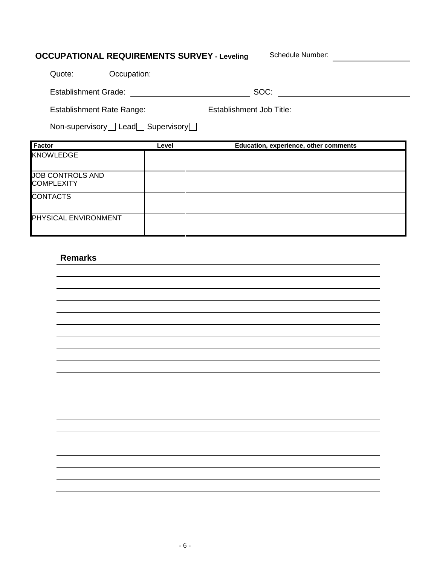# **OCCUPATIONAL REQUIREMENTS SURVEY - Leveling** Schedule Number: \_\_\_\_\_\_\_\_\_\_\_\_\_\_\_\_\_

| <b>Factor</b><br><b>KNOWLEDGE</b>                     | Level       | Education, experience, other comments |  |
|-------------------------------------------------------|-------------|---------------------------------------|--|
| Non-supervisory $\Box$ Lead $\Box$ Supervisory $\Box$ |             |                                       |  |
| <b>Establishment Rate Range:</b>                      |             | Establishment Job Title:              |  |
| <b>Establishment Grade:</b>                           |             | SOC:                                  |  |
| Quote:                                                | Occupation: |                                       |  |

| JOB CONTROLS AND<br><b>COMPLEXITY</b> |  |
|---------------------------------------|--|
| <b>CONTACTS</b>                       |  |
| <b>PHYSICAL ENVIRONMENT</b>           |  |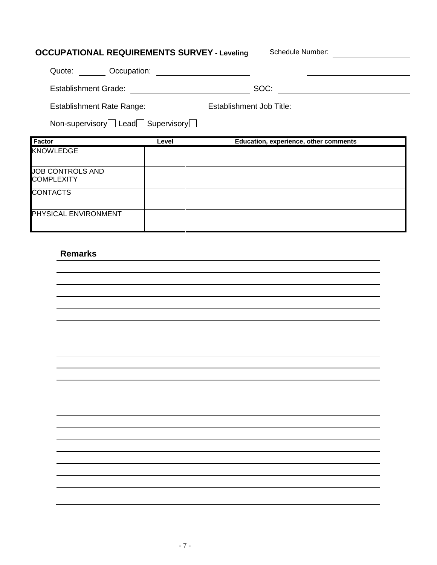# **OCCUPATIONAL REQUIREMENTS SURVEY - Leveling** Schedule Number: \_\_\_\_\_\_\_\_\_\_\_\_\_\_\_\_\_ Quote: Occupation: Establishment Grade: SOC: Establishment Job Title: Establishment Rate Range: Non-supervisory Lead Supervisory **Factor Level Education, experience, other comments** KNOWLEDGE JOB CONTROLS AND **COMPLEXITY CONTACTS** PHYSICAL ENVIRONMENT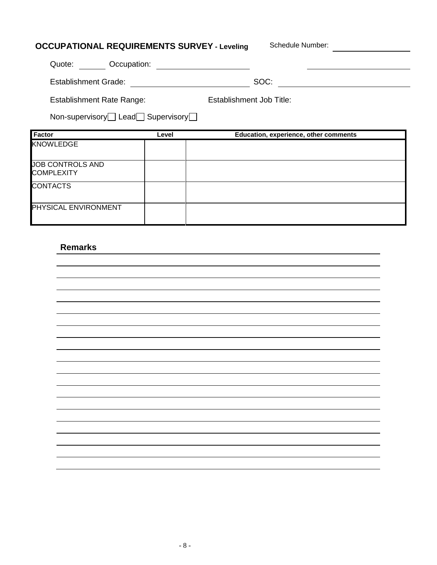| <b>OCCUPATIONAL REQUIREMENTS SURVEY - Leveling</b> |       |                          | Schedule Number:                      |
|----------------------------------------------------|-------|--------------------------|---------------------------------------|
| Quote:<br>Occupation:                              |       |                          |                                       |
| <b>Establishment Grade:</b>                        |       |                          | SOC:                                  |
| <b>Establishment Rate Range:</b>                   |       | Establishment Job Title: |                                       |
| Non-supervisory Lead Supervisory                   |       |                          |                                       |
| <b>Factor</b>                                      | Level |                          | Education, experience, other comments |
| <b>KNOWLEDGE</b>                                   |       |                          |                                       |
| <b>JOB CONTROLS AND</b><br><b>COMPLEXITY</b>       |       |                          |                                       |
| <b>CONTACTS</b>                                    |       |                          |                                       |
|                                                    |       |                          |                                       |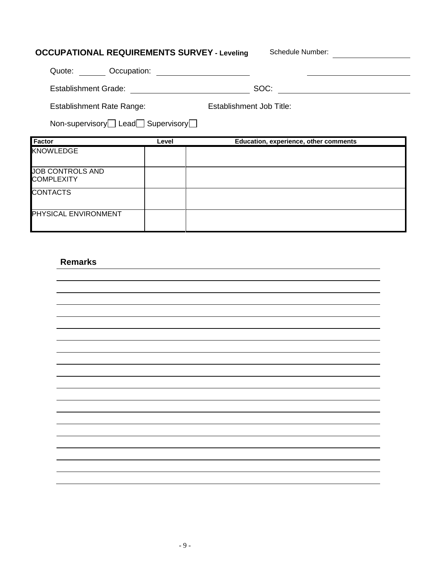| <b>OCCUPATIONAL REQUIREMENTS SURVEY - Leveling</b> |       | Schedule Number:                      |
|----------------------------------------------------|-------|---------------------------------------|
| <b>COCCUPATION:</b><br>Quote:                      |       |                                       |
| <b>Establishment Grade:</b>                        |       | SOC:                                  |
| <b>Establishment Rate Range:</b>                   |       | Establishment Job Title:              |
| Non-supervisory Lead Supervisory                   |       |                                       |
| Factor                                             | Level | Education, experience, other comments |
| <b>KNOWLEDGE</b>                                   |       |                                       |
| <b>JOB CONTROLS AND</b><br><b>COMPLEXITY</b>       |       |                                       |
| <b>CONTACTS</b>                                    |       |                                       |
| PHYSICAL ENVIRONMENT                               |       |                                       |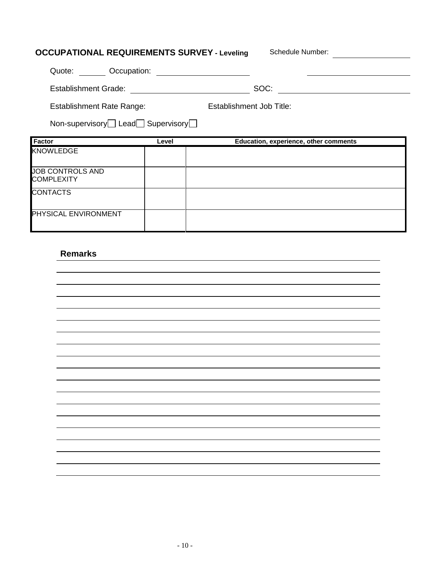| <b>OCCUPATIONAL REQUIREMENTS SURVEY - Leveling</b> |       | Schedule Number:                      |
|----------------------------------------------------|-------|---------------------------------------|
| Quote:<br>Occupation:                              |       |                                       |
| <b>Establishment Grade:</b>                        |       | SOC:                                  |
| <b>Establishment Rate Range:</b>                   |       | Establishment Job Title:              |
| Non-supervisory Lead Supervisory                   |       |                                       |
| <b>Factor</b>                                      | Level | Education, experience, other comments |
| <b>KNOWLEDGE</b>                                   |       |                                       |
|                                                    |       |                                       |
| <b>JOB CONTROLS AND</b><br><b>COMPLEXITY</b>       |       |                                       |
| <b>CONTACTS</b>                                    |       |                                       |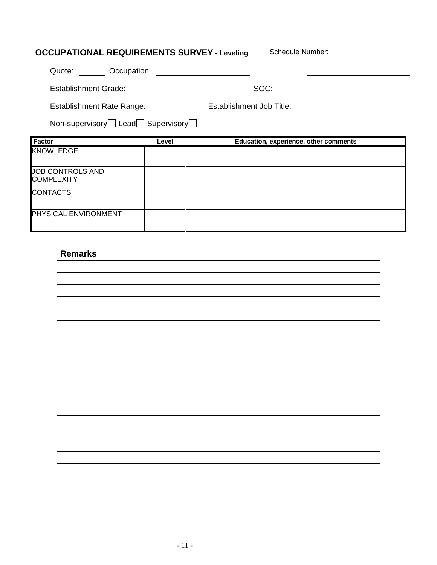| <b>OCCUPATIONAL REQUIREMENTS SURVEY - Leveling</b> |       | Schedule Number:                      |
|----------------------------------------------------|-------|---------------------------------------|
| Quote: Occupation:                                 |       |                                       |
| <b>Establishment Grade:</b>                        |       | SOC:                                  |
| <b>Establishment Rate Range:</b>                   |       | Establishment Job Title:              |
| Non-supervisory□ Lead□ Supervisory□                |       |                                       |
| Factor                                             | Level | Education, experience, other comments |
| <b>KNOWLEDGE</b>                                   |       |                                       |
| <b>JOB CONTROLS AND</b><br><b>COMPLEXITY</b>       |       |                                       |
|                                                    |       |                                       |
| <b>CONTACTS</b>                                    |       |                                       |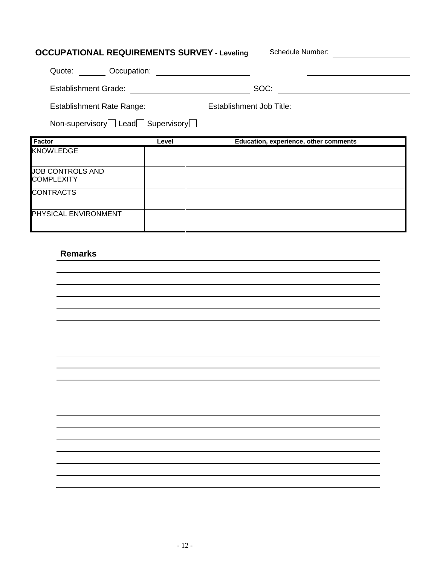| <b>OCCUPATIONAL REQUIREMENTS SURVEY - Leveling</b> |                          | Schedule Number:                      |
|----------------------------------------------------|--------------------------|---------------------------------------|
| Quote:<br>Occupation:                              |                          |                                       |
| <b>Establishment Grade:</b>                        |                          | SOC:                                  |
| <b>Establishment Rate Range:</b>                   | Establishment Job Title: |                                       |
| Non-supervisory Lead Supervisory                   |                          |                                       |
|                                                    |                          |                                       |
| Factor                                             | Level                    | Education, experience, other comments |
| <b>KNOWLEDGE</b>                                   |                          |                                       |
| <b>JOB CONTROLS AND</b><br><b>COMPLEXITY</b>       |                          |                                       |
| <b>CONTRACTS</b>                                   |                          |                                       |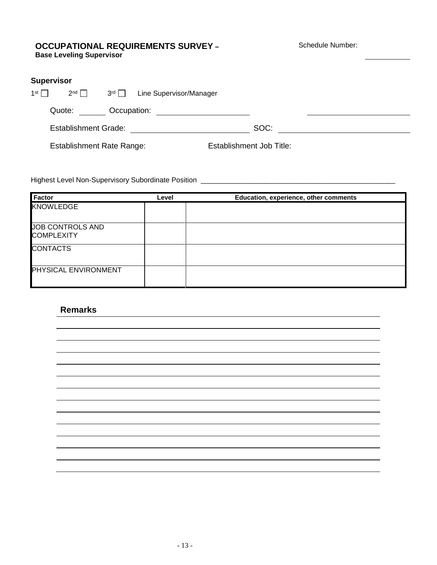#### **OCCUPATIONAL REQUIREMENTS SURVEY – Base Leveling Supervisor**

Schedule Number:

| <b>Supervisor</b> |                                  |                 |                         |                                 |  |
|-------------------|----------------------------------|-----------------|-------------------------|---------------------------------|--|
| 1 <sup>st</sup>   | $2^{nd}$                         | 3 <sup>rd</sup> | Line Supervisor/Manager |                                 |  |
|                   | Quote:                           | Occupation:     |                         |                                 |  |
|                   | <b>Establishment Grade:</b>      |                 |                         | SOC:                            |  |
|                   | <b>Establishment Rate Range:</b> |                 |                         | <b>Establishment Job Title:</b> |  |

Highest Level Non-Supervisory Subordinate Position \_\_\_\_\_\_\_\_\_\_\_\_\_\_\_\_\_\_\_\_\_\_\_\_\_\_\_\_\_\_\_\_\_\_\_\_\_\_\_\_\_\_\_\_\_\_\_\_\_

| Factor                                       | Level | Education, experience, other comments |
|----------------------------------------------|-------|---------------------------------------|
| KNOWLEDGE                                    |       |                                       |
| <b>JOB CONTROLS AND</b><br><b>COMPLEXITY</b> |       |                                       |
| <b>CONTACTS</b>                              |       |                                       |
| PHYSICAL ENVIRONMENT                         |       |                                       |

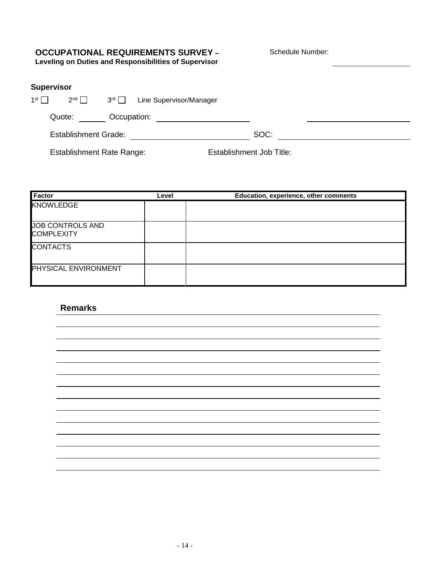## **OCCUPATIONAL REQUIREMENTS SURVEY –**

Schedule Number:

**Leveling on Duties and Responsibilities of Supervisor**

### **Supervisor**

| 1st $\Gamma$ | $2^{nd}$                    | $3^{rd}$    | Line Supervisor/Manager |      |  |
|--------------|-----------------------------|-------------|-------------------------|------|--|
|              | Quote:                      | Occupation: |                         |      |  |
|              | <b>Establishment Grade:</b> |             |                         | SOC: |  |

Establishment Rate Range: Establishment Job Title:

| <b>Factor</b>                                | Level | Education, experience, other comments |
|----------------------------------------------|-------|---------------------------------------|
| <b>KNOWLEDGE</b>                             |       |                                       |
| <b>JOB CONTROLS AND</b><br><b>COMPLEXITY</b> |       |                                       |
| <b>CONTACTS</b>                              |       |                                       |
| <b>PHYSICAL ENVIRONMENT</b>                  |       |                                       |

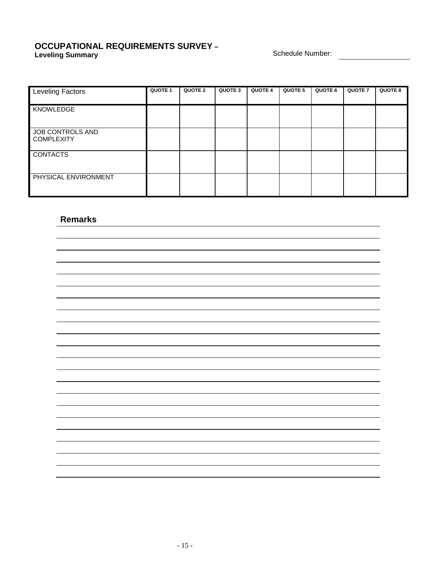#### **OCCUPATIONAL REQUIREMENTS SURVEY – Leveling Summary Schedule Number: Constant Constant Constant Constant Constant Constant Constant Constant Constant Constant Constant Constant Constant Constant Constant Constant Constant Constant Constant Constant Con**

| Leveling Factors                      | QUOTE 1 | <b>QUOTE 2</b> | QUOTE 3 | <b>QUOTE 4</b> | <b>QUOTE 5</b> | QUOTE 6 | <b>QUOTE 7</b> | <b>QUOTE 8</b> |
|---------------------------------------|---------|----------------|---------|----------------|----------------|---------|----------------|----------------|
| KNOWLEDGE                             |         |                |         |                |                |         |                |                |
| JOB CONTROLS AND<br><b>COMPLEXITY</b> |         |                |         |                |                |         |                |                |
| <b>CONTACTS</b><br>Π                  |         |                |         |                |                |         |                |                |
| PHYSICAL ENVIRONMENT                  |         |                |         |                |                |         |                |                |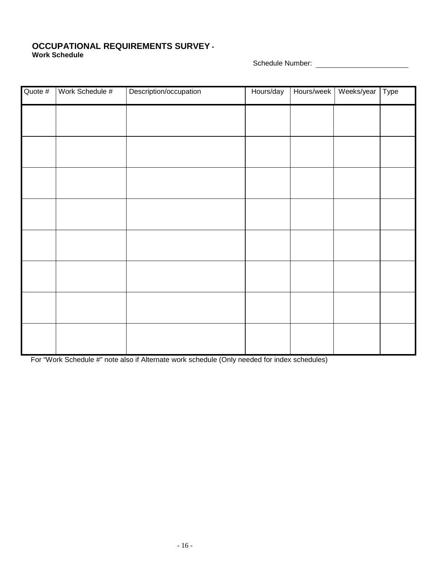#### **OCCUPATIONAL REQUIREMENTS SURVEY - Work Schedule**

Schedule Number:

| Quote # | Work Schedule # | Description/occupation | Hours/day | Hours/week | Weeks/year Type |  |
|---------|-----------------|------------------------|-----------|------------|-----------------|--|
|         |                 |                        |           |            |                 |  |
|         |                 |                        |           |            |                 |  |
|         |                 |                        |           |            |                 |  |
|         |                 |                        |           |            |                 |  |
|         |                 |                        |           |            |                 |  |
|         |                 |                        |           |            |                 |  |
|         |                 |                        |           |            |                 |  |
|         |                 |                        |           |            |                 |  |
|         |                 |                        |           |            |                 |  |

For "Work Schedule #" note also if Alternate work schedule (Only needed for index schedules)